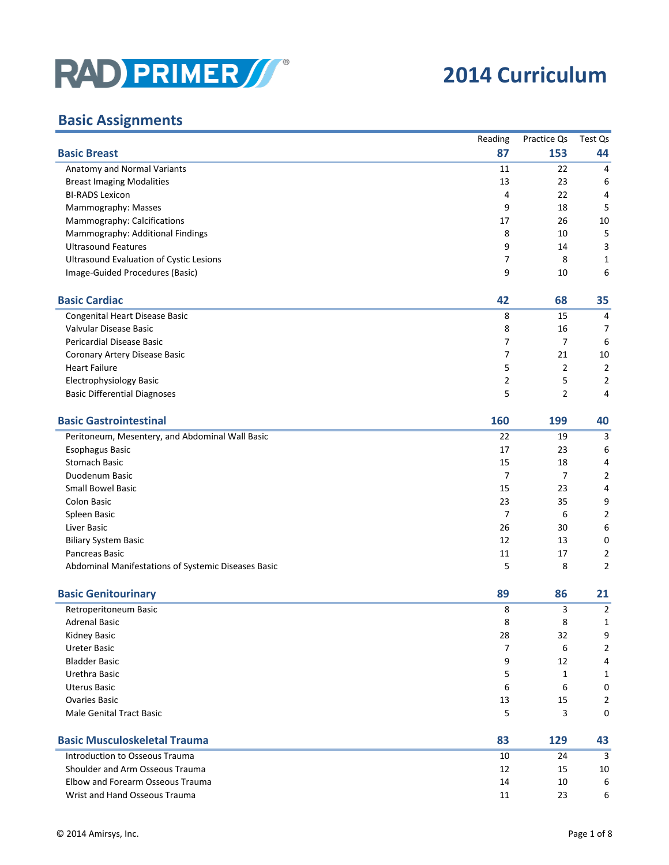

## **2014 Curriculum**

## **Basic Assignments**

|                                                     | Reading        | Practice Qs    | Test Qs        |
|-----------------------------------------------------|----------------|----------------|----------------|
| <b>Basic Breast</b>                                 | 87             | 153            | 44             |
| Anatomy and Normal Variants                         | 11             | 22             | 4              |
| <b>Breast Imaging Modalities</b>                    | 13             | 23             | 6              |
| <b>BI-RADS Lexicon</b>                              | 4              | 22             | 4              |
| Mammography: Masses                                 | 9              | 18             | 5              |
| Mammography: Calcifications                         | 17             | 26             | 10             |
| Mammography: Additional Findings                    | 8              | 10             | 5              |
| <b>Ultrasound Features</b>                          | 9              | 14             | 3              |
| <b>Ultrasound Evaluation of Cystic Lesions</b>      | 7              | 8              | 1              |
| Image-Guided Procedures (Basic)                     | 9              | 10             | 6              |
| <b>Basic Cardiac</b>                                | 42             | 68             | 35             |
| Congenital Heart Disease Basic                      | 8              | 15             | 4              |
| Valvular Disease Basic                              | 8              | 16             | 7              |
| Pericardial Disease Basic                           | 7              | $\overline{7}$ | 6              |
| Coronary Artery Disease Basic                       | $\overline{7}$ | 21             | 10             |
| <b>Heart Failure</b>                                | 5              | $\overline{2}$ | $\overline{2}$ |
| Electrophysiology Basic                             | $\overline{2}$ | 5              | $\overline{2}$ |
| <b>Basic Differential Diagnoses</b>                 | 5              | $\overline{2}$ | 4              |
| <b>Basic Gastrointestinal</b>                       | 160            | 199            | 40             |
| Peritoneum, Mesentery, and Abdominal Wall Basic     | 22             | 19             | 3              |
| <b>Esophagus Basic</b>                              | 17             | 23             | 6              |
| <b>Stomach Basic</b>                                | 15             | 18             | 4              |
| Duodenum Basic                                      | $\overline{7}$ | 7              | $\overline{2}$ |
| <b>Small Bowel Basic</b>                            | 15             | 23             | 4              |
| <b>Colon Basic</b>                                  | 23             | 35             | 9              |
| Spleen Basic                                        | $\overline{7}$ | 6              | 2              |
| Liver Basic                                         | 26             | 30             | 6              |
| <b>Biliary System Basic</b>                         | 12             | 13             | 0              |
| Pancreas Basic                                      | 11             | 17             | 2              |
| Abdominal Manifestations of Systemic Diseases Basic | 5              | 8              | $\overline{2}$ |
| <b>Basic Genitourinary</b>                          | 89             | 86             | 21             |
| Retroperitoneum Basic                               | 8              | 3              | 2              |
| <b>Adrenal Basic</b>                                | 8              | 8              | 1              |
| <b>Kidney Basic</b>                                 | 28             | 32             | 9              |
| <b>Ureter Basic</b>                                 | 7              | 6              | $\overline{2}$ |
| <b>Bladder Basic</b>                                | 9              | 12             | 4              |
| Urethra Basic                                       | 5              | 1              | 1              |
| <b>Uterus Basic</b>                                 | 6              | 6              | 0              |
| <b>Ovaries Basic</b>                                | 13             | 15             | $\overline{2}$ |
| <b>Male Genital Tract Basic</b>                     | 5              | 3              | 0              |
| <b>Basic Musculoskeletal Trauma</b>                 | 83             | 129            | 43             |
| Introduction to Osseous Trauma                      | 10             | 24             | 3              |
| Shoulder and Arm Osseous Trauma                     | 12             | 15             | 10             |
| Elbow and Forearm Osseous Trauma                    | 14             | 10             | 6              |
| Wrist and Hand Osseous Trauma                       | 11             | 23             | 6              |
|                                                     |                |                |                |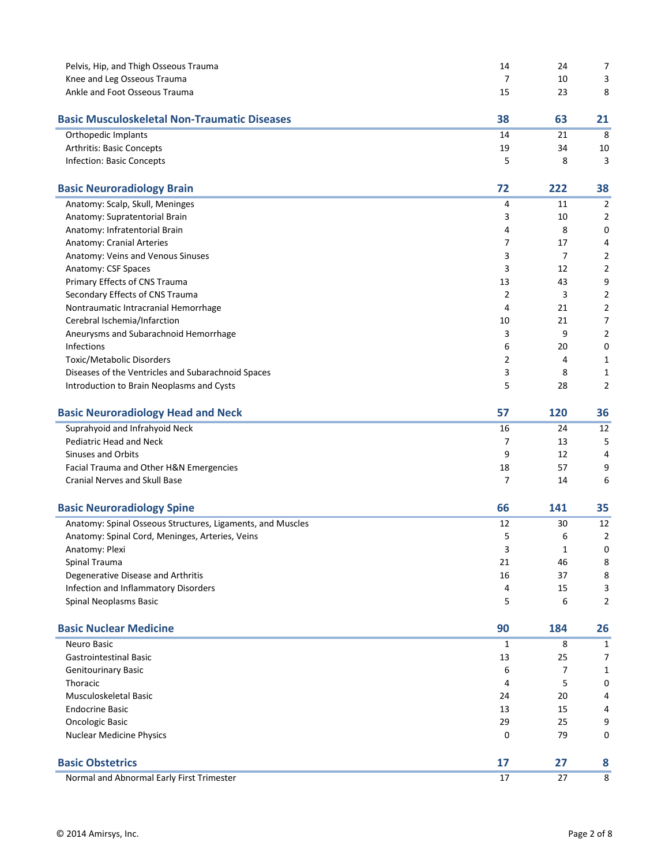| Pelvis, Hip, and Thigh Osseous Trauma                      | 14 | 24             | 7              |
|------------------------------------------------------------|----|----------------|----------------|
| Knee and Leg Osseous Trauma                                | 7  | 10             | 3              |
| Ankle and Foot Osseous Trauma                              | 15 | 23             | 8              |
| <b>Basic Musculoskeletal Non-Traumatic Diseases</b>        | 38 | 63             | 21             |
| Orthopedic Implants                                        | 14 | 21             | 8              |
| Arthritis: Basic Concepts                                  | 19 | 34             | 10             |
| <b>Infection: Basic Concepts</b>                           | 5  | 8              | 3              |
| <b>Basic Neuroradiology Brain</b>                          | 72 | 222            | 38             |
| Anatomy: Scalp, Skull, Meninges                            | 4  | 11             | 2              |
| Anatomy: Supratentorial Brain                              | 3  | 10             | $\overline{2}$ |
| Anatomy: Infratentorial Brain                              | 4  | 8              | 0              |
| Anatomy: Cranial Arteries                                  | 7  | 17             | 4              |
| Anatomy: Veins and Venous Sinuses                          | 3  | $\overline{7}$ | $\overline{2}$ |
| Anatomy: CSF Spaces                                        | 3  | 12             | $\overline{2}$ |
| Primary Effects of CNS Trauma                              | 13 | 43             | 9              |
| Secondary Effects of CNS Trauma                            | 2  | 3              | 2              |
| Nontraumatic Intracranial Hemorrhage                       | 4  | 21             | $\overline{2}$ |
| Cerebral Ischemia/Infarction                               | 10 | 21             | 7              |
| Aneurysms and Subarachnoid Hemorrhage                      | 3  | 9              | 2              |
| Infections                                                 | 6  | 20             | $\mathbf 0$    |
| Toxic/Metabolic Disorders                                  | 2  | 4              | 1              |
| Diseases of the Ventricles and Subarachnoid Spaces         | 3  | 8              | 1              |
| Introduction to Brain Neoplasms and Cysts                  | 5  | 28             | $\overline{2}$ |
| <b>Basic Neuroradiology Head and Neck</b>                  | 57 | 120            | 36             |
| Suprahyoid and Infrahyoid Neck                             | 16 | 24             | 12             |
| Pediatric Head and Neck                                    | 7  | 13             | 5              |
| <b>Sinuses and Orbits</b>                                  | 9  | 12             | 4              |
| Facial Trauma and Other H&N Emergencies                    | 18 | 57             | 9              |
| <b>Cranial Nerves and Skull Base</b>                       | 7  | 14             | 6              |
| <b>Basic Neuroradiology Spine</b>                          | 66 | 141            | 35             |
| Anatomy: Spinal Osseous Structures, Ligaments, and Muscles | 12 | 30             | 12             |
| Anatomy: Spinal Cord, Meninges, Arteries, Veins            | 5  | 6              | $\overline{2}$ |
| Anatomy: Plexi                                             | 3  | 1              | 0              |
| Spinal Trauma                                              | 21 | 46             | 8              |
| Degenerative Disease and Arthritis                         | 16 | 37             | 8              |
| Infection and Inflammatory Disorders                       | 4  | 15             | 3              |
| Spinal Neoplasms Basic                                     | 5  | 6              | $\overline{2}$ |
| <b>Basic Nuclear Medicine</b>                              | 90 | 184            | 26             |
| Neuro Basic                                                | 1  | 8              | 1              |
| <b>Gastrointestinal Basic</b>                              | 13 | 25             | 7              |
| <b>Genitourinary Basic</b>                                 | 6  | 7              | 1              |
| Thoracic                                                   | 4  | 5              | 0              |
| Musculoskeletal Basic                                      | 24 | 20             |                |
| <b>Endocrine Basic</b>                                     | 13 | 15             |                |
| <b>Oncologic Basic</b>                                     | 29 | 25             | 9              |
| <b>Nuclear Medicine Physics</b>                            | 0  | 79             | 0              |
| <b>Basic Obstetrics</b>                                    | 17 | 27             | 8              |
| Normal and Abnormal Early First Trimester                  | 17 | 27             | 8              |
|                                                            |    |                |                |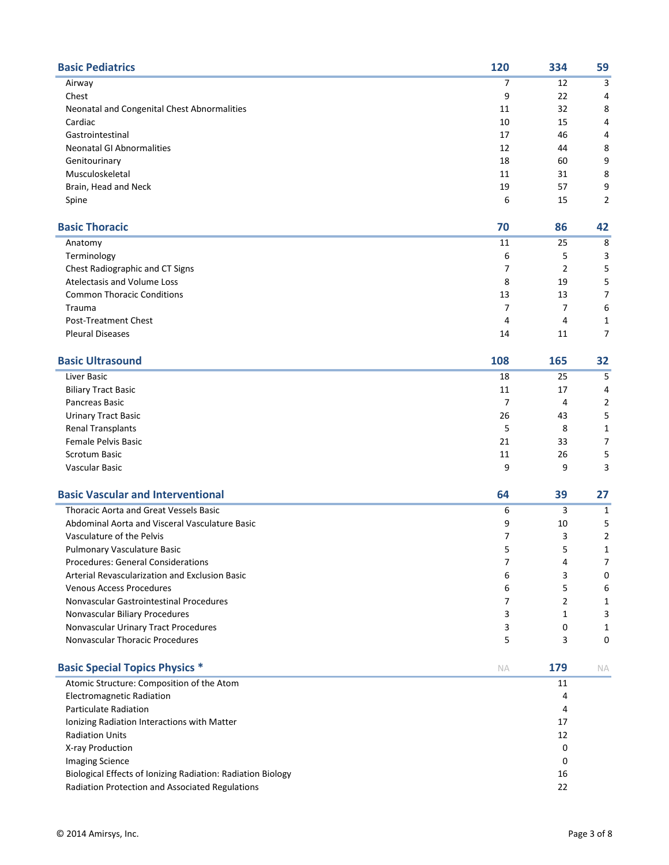| <b>Basic Pediatrics</b>                                     | 120 | 334            | 59             |
|-------------------------------------------------------------|-----|----------------|----------------|
| Airway                                                      | 7   | 12             | 3              |
| Chest                                                       | 9   | 22             | 4              |
| Neonatal and Congenital Chest Abnormalities                 | 11  | 32             | 8              |
| Cardiac                                                     | 10  | 15             | 4              |
| Gastrointestinal                                            | 17  | 46             | 4              |
| <b>Neonatal GI Abnormalities</b>                            | 12  | 44             | 8              |
| Genitourinary                                               | 18  | 60             | 9              |
| Musculoskeletal                                             | 11  | 31             | 8              |
| Brain, Head and Neck                                        | 19  | 57             | 9              |
| Spine                                                       | 6   | 15             | $\overline{2}$ |
| <b>Basic Thoracic</b>                                       | 70  | 86             | 42             |
| Anatomy                                                     | 11  | 25             | 8              |
| Terminology                                                 | 6   | 5              | 3              |
| Chest Radiographic and CT Signs                             | 7   | $\overline{2}$ | 5              |
| Atelectasis and Volume Loss                                 | 8   | 19             | 5              |
| <b>Common Thoracic Conditions</b>                           | 13  | 13             | 7              |
| <b>Trauma</b>                                               | 7   | 7              | 6              |
| <b>Post-Treatment Chest</b>                                 | 4   | 4              | 1              |
| <b>Pleural Diseases</b>                                     | 14  | 11             | $\overline{7}$ |
| <b>Basic Ultrasound</b>                                     | 108 | 165            | 32             |
| Liver Basic                                                 | 18  | 25             | 5              |
| <b>Biliary Tract Basic</b>                                  | 11  | 17             | 4              |
| Pancreas Basic                                              | 7   | 4              | 2              |
| <b>Urinary Tract Basic</b>                                  | 26  | 43             | 5              |
| <b>Renal Transplants</b>                                    | 5   | 8              | 1              |
| <b>Female Pelvis Basic</b>                                  | 21  | 33             | 7              |
| <b>Scrotum Basic</b>                                        | 11  | 26             | 5              |
| Vascular Basic                                              | 9   | 9              | 3              |
| <b>Basic Vascular and Interventional</b>                    | 64  | 39             | 27             |
| Thoracic Aorta and Great Vessels Basic                      | 6   | 3              | 1              |
| Abdominal Aorta and Visceral Vasculature Basic              | 9   | 10             | 5              |
| Vasculature of the Pelvis                                   | 7   | 3              | $\overline{2}$ |
| <b>Pulmonary Vasculature Basic</b>                          | 5   | 5              | 1              |
| <b>Procedures: General Considerations</b>                   | 7   | 4              | 7              |
| Arterial Revascularization and Exclusion Basic              | 6   | 3              | 0              |
| <b>Venous Access Procedures</b>                             | 6   | 5              | 6              |
| Nonvascular Gastrointestinal Procedures                     | 7   | 2              | 1              |
| Nonvascular Biliary Procedures                              | 3   | 1              | 3              |
| Nonvascular Urinary Tract Procedures                        | 3   | 0              | 1              |
| Nonvascular Thoracic Procedures                             | 5   | 3              | $\mathbf 0$    |
| <b>Basic Special Topics Physics *</b>                       | NA  | 179            | NA             |
| Atomic Structure: Composition of the Atom                   |     | 11             |                |
| Electromagnetic Radiation                                   |     | 4              |                |
| <b>Particulate Radiation</b>                                |     | 4              |                |
| Ionizing Radiation Interactions with Matter                 |     | 17             |                |
| <b>Radiation Units</b>                                      |     | 12             |                |
| X-ray Production                                            |     | 0              |                |
| <b>Imaging Science</b>                                      |     | 0              |                |
| Biological Effects of Ionizing Radiation: Radiation Biology |     | 16             |                |
| Radiation Protection and Associated Regulations             |     | 22             |                |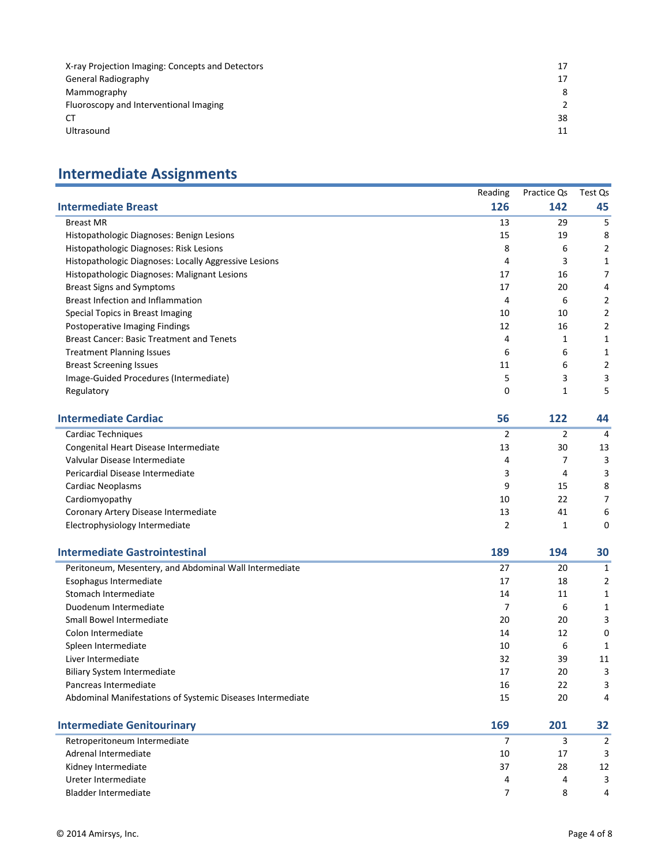| X-ray Projection Imaging: Concepts and Detectors |    |
|--------------------------------------------------|----|
| <b>General Radiography</b>                       |    |
| Mammography                                      |    |
| Fluoroscopy and Interventional Imaging           |    |
| CТ                                               | 38 |
| Ultrasound                                       |    |

## **Intermediate Assignments**

|                                                            | Reading        | Practice Qs    | Test Qs        |
|------------------------------------------------------------|----------------|----------------|----------------|
| <b>Intermediate Breast</b>                                 | 126            | 142            | 45             |
| <b>Breast MR</b>                                           | 13             | 29             | 5              |
| Histopathologic Diagnoses: Benign Lesions                  | 15             | 19             | 8              |
| Histopathologic Diagnoses: Risk Lesions                    | 8              | 6              | $\overline{2}$ |
| Histopathologic Diagnoses: Locally Aggressive Lesions      | 4              | 3              | $\mathbf{1}$   |
| Histopathologic Diagnoses: Malignant Lesions               | 17             | 16             | $\overline{7}$ |
| <b>Breast Signs and Symptoms</b>                           | 17             | 20             | $\overline{4}$ |
| <b>Breast Infection and Inflammation</b>                   | $\overline{4}$ | 6              | $\overline{2}$ |
| Special Topics in Breast Imaging                           | 10             | 10             | $\overline{2}$ |
| Postoperative Imaging Findings                             | 12             | 16             | 2              |
| <b>Breast Cancer: Basic Treatment and Tenets</b>           | $\overline{4}$ | 1              | 1              |
| <b>Treatment Planning Issues</b>                           | 6              | 6              | $\mathbf{1}$   |
| <b>Breast Screening Issues</b>                             | 11             | 6              | $\overline{2}$ |
| Image-Guided Procedures (Intermediate)                     | 5              | 3              | 3              |
| Regulatory                                                 | 0              | 1              | 5              |
| <b>Intermediate Cardiac</b>                                | 56             | 122            | 44             |
| Cardiac Techniques                                         | $\overline{2}$ | $\overline{2}$ | 4              |
| Congenital Heart Disease Intermediate                      | 13             | 30             | 13             |
| Valvular Disease Intermediate                              | 4              | 7              | 3              |
| Pericardial Disease Intermediate                           | 3              | 4              | 3              |
| Cardiac Neoplasms                                          | 9              | 15             | 8              |
| Cardiomyopathy                                             | 10             | 22             | $\overline{7}$ |
| Coronary Artery Disease Intermediate                       | 13             | 41             | 6              |
| Electrophysiology Intermediate                             | $\overline{2}$ | 1              | $\mathbf 0$    |
| <b>Intermediate Gastrointestinal</b>                       | 189            | 194            | 30             |
| Peritoneum, Mesentery, and Abdominal Wall Intermediate     | 27             | 20             | $\mathbf{1}$   |
| Esophagus Intermediate                                     | 17             | 18             | $\overline{2}$ |
| Stomach Intermediate                                       | 14             | 11             | 1              |
| Duodenum Intermediate                                      | 7              | 6              | 1              |
| Small Bowel Intermediate                                   | 20             | 20             | 3              |
| Colon Intermediate                                         | 14             | 12             | $\mathbf 0$    |
| Spleen Intermediate                                        | 10             | 6              | $\mathbf{1}$   |
| Liver Intermediate                                         | 32             | 39             | 11             |
| <b>Biliary System Intermediate</b>                         | 17             | 20             | 3              |
| Pancreas Intermediate                                      | 16             | 22             | 3              |
| Abdominal Manifestations of Systemic Diseases Intermediate | 15             | 20             | $\overline{4}$ |
| <b>Intermediate Genitourinary</b>                          | 169            | 201            | 32             |

| Retroperitoneum Intermediate |    |    |    |
|------------------------------|----|----|----|
| Adrenal Intermediate         | 10 | 17 |    |
| Kidney Intermediate          | 37 | 28 | 12 |
| Ureter Intermediate          |    | 4  |    |
| Bladder Intermediate         |    |    |    |
|                              |    |    |    |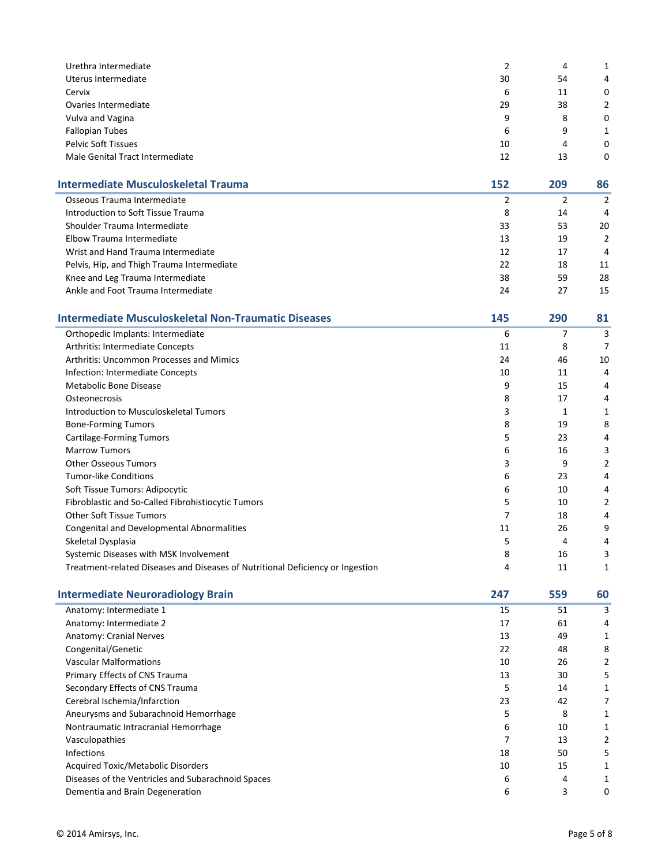| Urethra Intermediate            |    | 4  |   |
|---------------------------------|----|----|---|
| Uterus Intermediate             | 30 | 54 | 4 |
| Cervix                          | 6  | 11 | 0 |
| Ovaries Intermediate            | 29 | 38 | 2 |
| Vulva and Vagina                | 9  | 8  | 0 |
| <b>Fallopian Tubes</b>          | 6  | 9  |   |
| <b>Pelvic Soft Tissues</b>      | 10 | 4  | 0 |
| Male Genital Tract Intermediate | 12 | 13 | 0 |

| <b>Intermediate Musculoskeletal Trauma</b> | 152 | 209 | 86            |
|--------------------------------------------|-----|-----|---------------|
| Osseous Trauma Intermediate                |     |     |               |
| Introduction to Soft Tissue Trauma         | 8   | 14  | 4             |
| Shoulder Trauma Intermediate               | 33  | 53  | 20            |
| Elbow Trauma Intermediate                  | 13  | 19  | $\mathcal{P}$ |
| Wrist and Hand Trauma Intermediate         | 12  | 17  | 4             |
| Pelvis, Hip, and Thigh Trauma Intermediate | 22  | 18  | 11            |
| Knee and Leg Trauma Intermediate           | 38  | 59  | 28            |
| Ankle and Foot Trauma Intermediate         | 24  | 27  | 15            |

| <b>Intermediate Musculoskeletal Non-Traumatic Diseases</b>                     | 145 | 290 | 81 |
|--------------------------------------------------------------------------------|-----|-----|----|
| Orthopedic Implants: Intermediate                                              | 6   |     | 3  |
| Arthritis: Intermediate Concepts                                               | 11  | 8   | 7  |
| <b>Arthritis: Uncommon Processes and Mimics</b>                                | 24  | 46  | 10 |
| Infection: Intermediate Concepts                                               | 10  | 11  | 4  |
| Metabolic Bone Disease                                                         | 9   | 15  | 4  |
| <b>Osteonecrosis</b>                                                           | 8   | 17  | 4  |
| Introduction to Musculoskeletal Tumors                                         | 3   |     | 1  |
| <b>Bone-Forming Tumors</b>                                                     | 8   | 19  | 8  |
| Cartilage-Forming Tumors                                                       | 5   | 23  | 4  |
| <b>Marrow Tumors</b>                                                           | 6   | 16  | 3  |
| <b>Other Osseous Tumors</b>                                                    | 3   | 9   | 2  |
| <b>Tumor-like Conditions</b>                                                   | 6   | 23  | 4  |
| Soft Tissue Tumors: Adipocytic                                                 | 6   | 10  | 4  |
| Fibroblastic and So-Called Fibrohistiocytic Tumors                             | 5   | 10  | 2  |
| <b>Other Soft Tissue Tumors</b>                                                |     | 18  | 4  |
| <b>Congenital and Developmental Abnormalities</b>                              | 11  | 26  | 9  |
| Skeletal Dysplasia                                                             | 5   | 4   | 4  |
| Systemic Diseases with MSK Involvement                                         | 8   | 16  | 3  |
| Treatment-related Diseases and Diseases of Nutritional Deficiency or Ingestion | 4   | 11  |    |

| <b>Intermediate Neuroradiology Brain</b>           | 247 | 559 | 60 |
|----------------------------------------------------|-----|-----|----|
| Anatomy: Intermediate 1                            | 15  | 51  | 3  |
| Anatomy: Intermediate 2                            | 17  | 61  | 4  |
| Anatomy: Cranial Nerves                            | 13  | 49  |    |
| Congenital/Genetic                                 | 22  | 48  | 8  |
| <b>Vascular Malformations</b>                      | 10  | 26  |    |
| Primary Effects of CNS Trauma                      | 13  | 30  | 5  |
| Secondary Effects of CNS Trauma                    | 5   | 14  |    |
| Cerebral Ischemia/Infarction                       | 23  | 42  |    |
| Aneurysms and Subarachnoid Hemorrhage              | 5   | 8   |    |
| Nontraumatic Intracranial Hemorrhage               | 6   | 10  |    |
| Vasculopathies                                     | 7   | 13  | 2  |
| <b>Infections</b>                                  | 18  | 50  | 5  |
| Acquired Toxic/Metabolic Disorders                 | 10  | 15  |    |
| Diseases of the Ventricles and Subarachnoid Spaces | 6   | 4   |    |
| Dementia and Brain Degeneration                    | 6   | 3   | 0  |
|                                                    |     |     |    |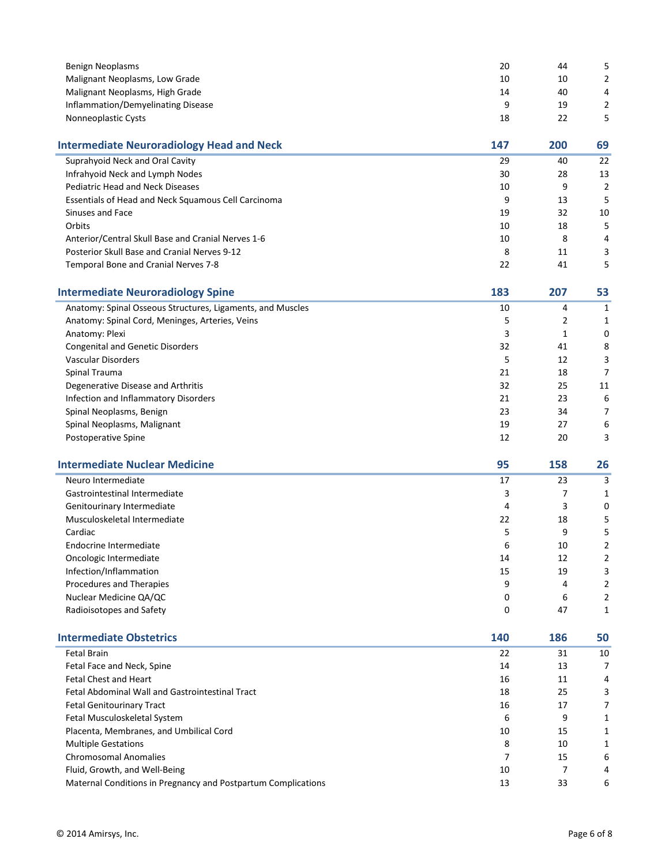| <b>Benign Neoplasms</b>                                       | 20     | 44       | 5                        |
|---------------------------------------------------------------|--------|----------|--------------------------|
| Malignant Neoplasms, Low Grade                                | 10     | 10       |                          |
| Malignant Neoplasms, High Grade                               | 14     | 40       | 4                        |
| Inflammation/Demyelinating Disease                            | 9      | 19       | $\overline{\mathbf{c}}$  |
| Nonneoplastic Cysts                                           | 18     | 22       | 5                        |
| <b>Intermediate Neuroradiology Head and Neck</b>              | 147    | 200      | 69                       |
| Suprahyoid Neck and Oral Cavity                               | 29     | 40       | 22                       |
| Infrahyoid Neck and Lymph Nodes                               | 30     | 28       | 13                       |
| <b>Pediatric Head and Neck Diseases</b>                       | 10     | 9        | $\overline{\mathbf{c}}$  |
| Essentials of Head and Neck Squamous Cell Carcinoma           | 9      | 13       | 5                        |
| Sinuses and Face                                              | 19     | 32       | 10                       |
| Orbits                                                        | 10     | 18       | 5                        |
| Anterior/Central Skull Base and Cranial Nerves 1-6            | 10     | 8        | 4                        |
| Posterior Skull Base and Cranial Nerves 9-12                  | 8      | 11       | 3                        |
| Temporal Bone and Cranial Nerves 7-8                          | 22     | 41       | 5                        |
| <b>Intermediate Neuroradiology Spine</b>                      | 183    | 207      | 53                       |
| Anatomy: Spinal Osseous Structures, Ligaments, and Muscles    | 10     | 4        | 1                        |
| Anatomy: Spinal Cord, Meninges, Arteries, Veins               | 5      | 2        | 1                        |
| Anatomy: Plexi                                                | 3      | 1        | 0                        |
| <b>Congenital and Genetic Disorders</b>                       | 32     | 41       | 8                        |
| <b>Vascular Disorders</b>                                     | 5      | 12       | 3                        |
| Spinal Trauma                                                 | 21     | 18       | 7                        |
| Degenerative Disease and Arthritis                            | 32     | 25       | 11                       |
| Infection and Inflammatory Disorders                          | 21     | 23       | 6                        |
| Spinal Neoplasms, Benign                                      | 23     | 34       | 7                        |
| Spinal Neoplasms, Malignant                                   | 19     | 27       | 6                        |
| Postoperative Spine                                           | 12     | 20       | 3                        |
| <b>Intermediate Nuclear Medicine</b>                          | 95     | 158      | 26                       |
| Neuro Intermediate                                            | 17     | 23       | 3                        |
| Gastrointestinal Intermediate                                 | 3      | 7        | 1                        |
| Genitourinary Intermediate                                    | 4      | 3        | 0                        |
| Musculoskeletal Intermediate                                  | 22     | 18       | 5                        |
| Cardiac                                                       | 5      | 9        | 5                        |
| Endocrine Intermediate                                        | 6      | 10       | $\overline{\phantom{a}}$ |
| Oncologic Intermediate                                        | 14     | 12       | $\overline{c}$           |
| Infection/Inflammation                                        | 15     | 19       | 3                        |
| Procedures and Therapies                                      | 9      | 4        | 2                        |
| Nuclear Medicine QA/QC                                        | 0      | 6        | $\overline{c}$           |
| Radioisotopes and Safety                                      | 0      | 47       | 1                        |
| <b>Intermediate Obstetrics</b>                                | 140    | 186      | 50                       |
| <b>Fetal Brain</b>                                            | 22     | 31       | 10                       |
| Fetal Face and Neck, Spine                                    | 14     | 13       | 7                        |
| Fetal Chest and Heart                                         | 16     | 11       | 4                        |
| Fetal Abdominal Wall and Gastrointestinal Tract               | 18     | 25       | 3                        |
| <b>Fetal Genitourinary Tract</b>                              | 16     | 17       | 7                        |
| Fetal Musculoskeletal System                                  | 6      | 9        | 1                        |
| Placenta, Membranes, and Umbilical Cord                       | 10     | 15       | 1                        |
| <b>Multiple Gestations</b><br><b>Chromosomal Anomalies</b>    | 8<br>7 | 10<br>15 | 1<br>6                   |
| Fluid, Growth, and Well-Being                                 | 10     | 7        | 4                        |
| Maternal Conditions in Pregnancy and Postpartum Complications | 13     | 33       | 6                        |
|                                                               |        |          |                          |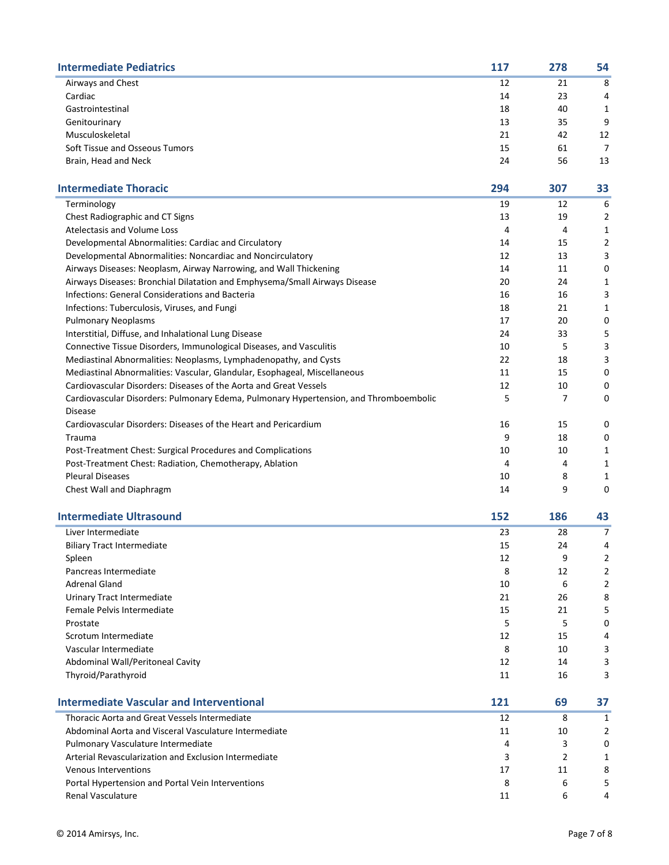| <b>Intermediate Pediatrics</b> | 117 | 278 | 54 |
|--------------------------------|-----|-----|----|
| Airways and Chest              | 12  | 21  | 8  |
| Cardiac                        | 14  | 23  | 4  |
| Gastrointestinal               | 18  | 40  | 1  |
| Genitourinary                  | 13  | 35  | 9  |
| Musculoskeletal                | 21  | 42  | 12 |
| Soft Tissue and Osseous Tumors | 15  | 61  |    |
| Brain, Head and Neck           | 24  | 56  | 13 |

| <b>Intermediate Thoracic</b>                                                          | 294 | 307 | 33 |
|---------------------------------------------------------------------------------------|-----|-----|----|
| Terminology                                                                           | 19  | 12  | 6  |
| Chest Radiographic and CT Signs                                                       | 13  | 19  | 2  |
| Atelectasis and Volume Loss                                                           | 4   | 4   | 1  |
| Developmental Abnormalities: Cardiac and Circulatory                                  | 14  | 15  | 2  |
| Developmental Abnormalities: Noncardiac and Noncirculatory                            | 12  | 13  | 3  |
| Airways Diseases: Neoplasm, Airway Narrowing, and Wall Thickening                     | 14  | 11  | 0  |
| Airways Diseases: Bronchial Dilatation and Emphysema/Small Airways Disease            | 20  | 24  | 1  |
| <b>Infections: General Considerations and Bacteria</b>                                | 16  | 16  | 3  |
| Infections: Tuberculosis, Viruses, and Fungi                                          | 18  | 21  | 1  |
| <b>Pulmonary Neoplasms</b>                                                            | 17  | 20  | 0  |
| Interstitial, Diffuse, and Inhalational Lung Disease                                  | 24  | 33  | 5  |
| Connective Tissue Disorders, Immunological Diseases, and Vasculitis                   | 10  | 5   | 3  |
| Mediastinal Abnormalities: Neoplasms, Lymphadenopathy, and Cysts                      | 22  | 18  | 3  |
| Mediastinal Abnormalities: Vascular, Glandular, Esophageal, Miscellaneous             | 11  | 15  | 0  |
| Cardiovascular Disorders: Diseases of the Aorta and Great Vessels                     | 12  | 10  | 0  |
| Cardiovascular Disorders: Pulmonary Edema, Pulmonary Hypertension, and Thromboembolic | 5   | 7   | 0  |
| Disease                                                                               |     |     |    |
| Cardiovascular Disorders: Diseases of the Heart and Pericardium                       | 16  | 15  | 0  |
| Trauma                                                                                | 9   | 18  | 0  |
| Post-Treatment Chest: Surgical Procedures and Complications                           | 10  | 10  | 1  |
| Post-Treatment Chest: Radiation, Chemotherapy, Ablation                               | 4   | 4   | 1  |
| <b>Pleural Diseases</b>                                                               | 10  | 8   | 1  |
| Chest Wall and Diaphragm                                                              | 14  | 9   | 0  |
|                                                                                       |     |     |    |

| 23<br>Liver Intermediate<br>28<br>7<br><b>Biliary Tract Intermediate</b><br>15<br>24<br>4<br>12<br>9<br>Spleen<br>2<br>12<br>Pancreas Intermediate<br>8<br>2 |
|--------------------------------------------------------------------------------------------------------------------------------------------------------------|
|                                                                                                                                                              |
|                                                                                                                                                              |
|                                                                                                                                                              |
|                                                                                                                                                              |
| <b>Adrenal Gland</b><br>10<br>6<br>2                                                                                                                         |
| 21<br>26<br>Urinary Tract Intermediate<br>8                                                                                                                  |
| Female Pelvis Intermediate<br>15<br>21<br>5.                                                                                                                 |
| 5<br>5<br>0<br>Prostate                                                                                                                                      |
| Scrotum Intermediate<br>12<br>15<br>4                                                                                                                        |
| Vascular Intermediate<br>8<br>3<br>10                                                                                                                        |
| Abdominal Wall/Peritoneal Cavity<br>12<br>3<br>14                                                                                                            |
| Thyroid/Parathyroid<br>16<br>3<br>11                                                                                                                         |

| <b>Intermediate Vascular and Interventional</b>       | 121 | 69 |          |
|-------------------------------------------------------|-----|----|----------|
| Thoracic Aorta and Great Vessels Intermediate         | 12  | 8  |          |
| Abdominal Aorta and Visceral Vasculature Intermediate | 11  | 10 |          |
| Pulmonary Vasculature Intermediate                    | 4   |    | $\Omega$ |
| Arterial Revascularization and Exclusion Intermediate |     |    |          |
| <b>Venous Interventions</b>                           | 17  | 11 | 8        |
| Portal Hypertension and Portal Vein Interventions     | 8   | 6  |          |
| <b>Renal Vasculature</b>                              | 11  | b  | 4        |